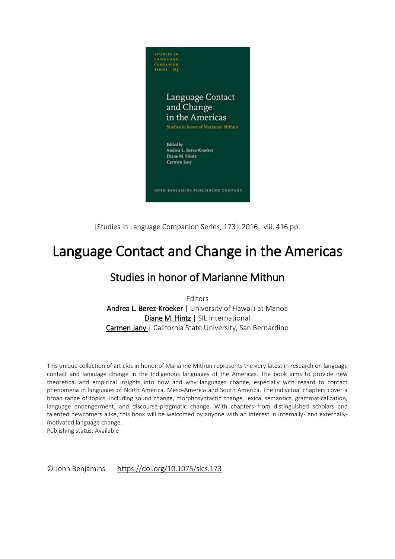

[\[Studies in Language Companion Series,](https://benjamins.com/catalog/slcs) 173] 2016. viii, 416 pp.

# Language Contact and Change in the Americas

## Studies in honor of Marianne Mithun

Editors [Andrea L. Berez-Kroeker |](https://benjamins.com/catalog/persons/845070068) University of Hawai'i at Manoa [Diane M. Hintz |](https://benjamins.com/catalog/persons/790095067) SIL International [Carmen Jany |](https://benjamins.com/catalog/persons/202081378) California State University, San Bernardino

This unique collection of articles in honor of Marianne Mithun represents the very latest in research on language contact and language change in the Indigenous languages of the Americas. The book aims to provide new theoretical and empirical insights into how and why languages change, especially with regard to contact phenomena in languages of North America, Meso-America and South America. The individual chapters cover a broad range of topics, including sound change, morphosyntactic change, lexical semantics, grammaticalization, language endangerment, and discourse-pragmatic change. With chapters from distinguished scholars and talented newcomers alike, this book will be welcomed by anyone with an interest in internally- and externallymotivated language change.

Publishing status: Available

© John Benjamins <https://doi.org/10.1075/slcs.173>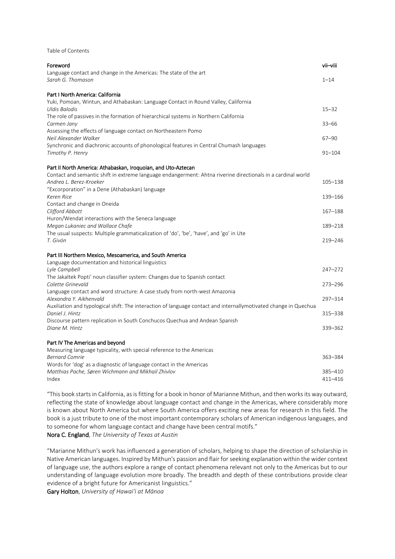Table of Contents

| Foreword                                                                                                                                | vii-viii           |
|-----------------------------------------------------------------------------------------------------------------------------------------|--------------------|
| Language contact and change in the Americas: The state of the art<br>Sarah G. Thomason                                                  | $1 - 14$           |
| Part I North America: California                                                                                                        |                    |
| Yuki, Pomoan, Wintun, and Athabaskan: Language Contact in Round Valley, California<br>Uldis Balodis                                     | $15 - 32$          |
| The role of passives in the formation of hierarchical systems in Northern California<br>Carmen Jany                                     | $33 - 66$          |
| Assessing the effects of language contact on Northeastern Pomo<br>Neil Alexander Walker                                                 | $67 - 90$          |
| Synchronic and diachronic accounts of phonological features in Central Chumash languages<br>Timothy P. Henry                            | $91 - 104$         |
| Part II North America: Athabaskan, Iroquoian, and Uto-Aztecan                                                                           |                    |
| Contact and semantic shift in extreme language endangerment: Ahtna riverine directionals in a cardinal world<br>Andrea L. Berez-Kroeker | 105-138            |
| "Excorporation" in a Dene (Athabaskan) language<br>Keren Rice                                                                           | 139-166            |
| Contact and change in Oneida<br>Clifford Abbott                                                                                         | 167-188            |
| Huron/Wendat interactions with the Seneca language<br>Megan Lukaniec and Wallace Chafe                                                  | 189-218            |
| The usual suspects: Multiple grammaticalization of 'do', 'be', 'have', and 'go' in Ute<br>T. Givón                                      | 219-246            |
| Part III Northern Mexico, Mesoamerica, and South America                                                                                |                    |
| Language documentation and historical linguistics<br>Lyle Campbell                                                                      | $247 - 272$        |
| The Jakaltek Popti' noun classifier system: Changes due to Spanish contact<br>Colette Grinevald                                         | $273 - 296$        |
| Language contact and word structure: A case study from north-west Amazonia<br>Alexandra Y. Aikhenvald                                   | 297-314            |
| Auxiliation and typological shift: The interaction of language contact and internallymotivated change in Quechua<br>Daniel J. Hintz     | 315-338            |
| Discourse pattern replication in South Conchucos Quechua and Andean Spanish<br>Diane M. Hintz                                           | 339-362            |
| Part IV The Americas and beyond                                                                                                         |                    |
| Measuring language typicality, with special reference to the Americas<br><b>Bernard Comrie</b>                                          | 363-384            |
| Words for 'dog' as a diagnostic of language contact in the Americas<br>Matthias Pache, Søren Wichmann and Mikhail Zhivlov<br>Index      | 385-410<br>411-416 |

"This book starts in California, as is fitting for a book in honor of Marianne Mithun, and then works its way outward, reflecting the state of knowledge about language contact and change in the Americas, where considerably more is known about North America but where South America offers exciting new areas for research in this field. The book is a just tribute to one of the most important contemporary scholars of American indigenous languages, and to someone for whom language contact and change have been central motifs."

Nora C. England, *The University of Texas at Austin*

"Marianne Mithun's work has influenced a generation of scholars, helping to shape the direction of scholarship in Native American languages. Inspired by Mithun's passion and flair for seeking explanation within the wider context of language use, the authors explore a range of contact phenomena relevant not only to the Americas but to our understanding of language evolution more broadly. The breadth and depth of these contributions provide clear evidence of a bright future for Americanist linguistics."

Gary Holton, *University of Hawai'i at Mānoa*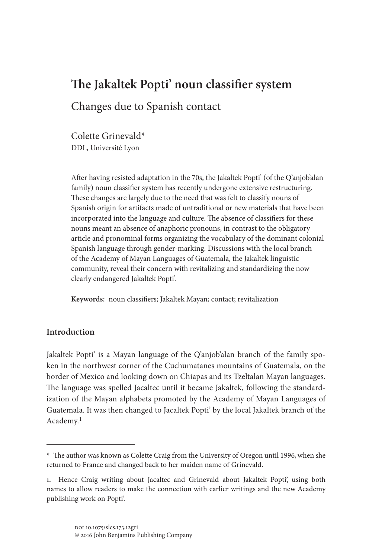## **The Jakaltek Popti' noun classifier system** Changes due to Spanish contact

Colette Grinevald\* DDL, Université Lyon

After having resisted adaptation in the 70s, the Jakaltek Popti' (of the Q'anjob'alan family) noun classifier system has recently undergone extensive restructuring. These changes are largely due to the need that was felt to classify nouns of Spanish origin for artifacts made of untraditional or new materials that have been incorporated into the language and culture. The absence of classifiers for these nouns meant an absence of anaphoric pronouns, in contrast to the obligatory article and pronominal forms organizing the vocabulary of the dominant colonial Spanish language through gender-marking. Discussions with the local branch of the Academy of Mayan Languages of Guatemala, the Jakaltek linguistic community, reveal their concern with revitalizing and standardizing the now clearly endangered Jakaltek Popti'.

**Keywords:** noun classifiers; Jakaltek Mayan; contact; revitalization

## **Introduction**

Jakaltek Popti' is a Mayan language of the Q'anjob'alan branch of the family spoken in the northwest corner of the Cuchumatanes mountains of Guatemala, on the border of Mexico and looking down on Chiapas and its Tzeltalan Mayan languages. The language was spelled Jacaltec until it became Jakaltek, following the standardization of the Mayan alphabets promoted by the Academy of Mayan Languages of Guatemala. It was then changed to Jacaltek Popti' by the local Jakaltek branch of the Academy.<sup>1</sup>

<sup>\*</sup> The author was known as Colette Craig from the University of Oregon until 1996, when she returned to France and changed back to her maiden name of Grinevald.

**<sup>1.</sup>**  Hence Craig writing about Jacaltec and Grinevald about Jakaltek Popti', using both names to allow readers to make the connection with earlier writings and the new Academy publishing work on Popti'.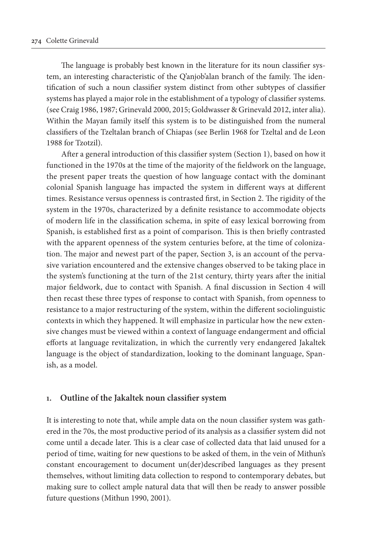The language is probably best known in the literature for its noun classifier system, an interesting characteristic of the Q'anjob'alan branch of the family. The identification of such a noun classifier system distinct from other subtypes of classifier systems has played a major role in the establishment of a typology of classifier systems. (see [Craig 1986](#page-22-0), [1987;](#page-22-1) [Grinevald 2000](#page-23-0), [2015](#page-23-1); [Goldwasser & Grinevald 2012](#page-23-2), inter alia). Within the Mayan family itself this system is to be distinguished from the numeral classifiers of the Tzeltalan branch of Chiapas (see [Berlin 1968](#page-22-2) for Tzeltal and de Leon 1988 for Tzotzil).

After a general introduction of this classifier system (Section 1), based on how it functioned in the 1970s at the time of the majority of the fieldwork on the language, the present paper treats the question of how language contact with the dominant colonial Spanish language has impacted the system in different ways at different times. Resistance versus openness is contrasted first, in Section 2. The rigidity of the system in the 1970s, characterized by a definite resistance to accommodate objects of modern life in the classification schema, in spite of easy lexical borrowing from Spanish, is established first as a point of comparison. This is then briefly contrasted with the apparent openness of the system centuries before, at the time of colonization. The major and newest part of the paper, Section 3, is an account of the pervasive variation encountered and the extensive changes observed to be taking place in the system's functioning at the turn of the 21st century, thirty years after the initial major fieldwork, due to contact with Spanish. A final discussion in Section 4 will then recast these three types of response to contact with Spanish, from openness to resistance to a major restructuring of the system, within the different sociolinguistic contexts in which they happened. It will emphasize in particular how the new extensive changes must be viewed within a context of language endangerment and official efforts at language revitalization, in which the currently very endangered Jakaltek language is the object of standardization, looking to the dominant language, Spanish, as a model.

#### **1. Outline of the Jakaltek noun classifier system**

It is interesting to note that, while ample data on the noun classifier system was gathered in the 70s, the most productive period of its analysis as a classifier system did not come until a decade later. This is a clear case of collected data that laid unused for a period of time, waiting for new questions to be asked of them, in the vein of Mithun's constant encouragement to document un(der)described languages as they present themselves, without limiting data collection to respond to contemporary debates, but making sure to collect ample natural data that will then be ready to answer possible future questions [\(Mithun 1990,](#page-23-3) [2001\)](#page-23-4).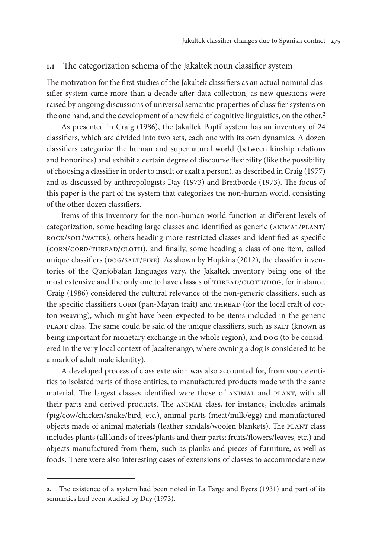#### **1.1**  The categorization schema of the Jakaltek noun classifier system

The motivation for the first studies of the Jakaltek classifiers as an actual nominal classifier system came more than a decade after data collection, as new questions were raised by ongoing discussions of universal semantic properties of classifier systems on the one hand, and the development of a new field of cognitive linguistics, on the other.<sup>2</sup>

As presented in [Craig \(1986](#page-22-0)), the Jakaltek Popti' system has an inventory of 24 classifiers, which are divided into two sets, each one with its own dynamics. A dozen classifiers categorize the human and supernatural world (between kinship relations and honorifics) and exhibit a certain degree of discourse flexibility (like the possibility of choosing a classifier in order to insult or exalt a person), as described in [Craig \(1977](#page-22-3)) and as discussed by anthropologists [Day \(1973\)](#page-22-4) and [Breitborde \(1973](#page-22-5)). The focus of this paper is the part of the system that categorizes the non-human world, consisting of the other dozen classifiers.

Items of this inventory for the non-human world function at different levels of categorization, some heading large classes and identified as generic (ANIMAL/PLANT/ rock/soil/water), others heading more restricted classes and identified as specific (corn/cord/thread/cloth), and finally, some heading a class of one item, called unique classifiers (DOG/SALT/FIRE). As shown by [Hopkins \(2012\)](#page-23-5), the classifier inventories of the Q'anjob'alan languages vary, the Jakaltek inventory being one of the most extensive and the only one to have classes of THREAD/CLOTH/DOG, for instance. [Craig \(1986](#page-22-0)) considered the cultural relevance of the non-generic classifiers, such as the specific classifiers CORN (pan-Mayan trait) and THREAD (for the local craft of cotton weaving), which might have been expected to be items included in the generic plant class. The same could be said of the unique classifiers, such as SALT (known as being important for monetary exchange in the whole region), and DOG (to be considered in the very local context of Jacaltenango, where owning a dog is considered to be a mark of adult male identity).

A developed process of class extension was also accounted for, from source entities to isolated parts of those entities, to manufactured products made with the same material. The largest classes identified were those of ANIMAL and PLANT, with all their parts and derived products. The ANIMAL class, for instance, includes animals (pig/cow/chicken/snake/bird, etc.), animal parts (meat/milk/egg) and manufactured objects made of animal materials (leather sandals/woolen blankets). The PLANT class includes plants (all kinds of trees/plants and their parts: fruits/flowers/leaves, etc.) and objects manufactured from them, such as planks and pieces of furniture, as well as foods. There were also interesting cases of extensions of classes to accommodate new

**<sup>.</sup>**  The existence of a system had been noted in [La Farge and Byers \(1931](#page-23-6)) and part of its semantics had been studied by [Day \(1973\)](#page-22-4).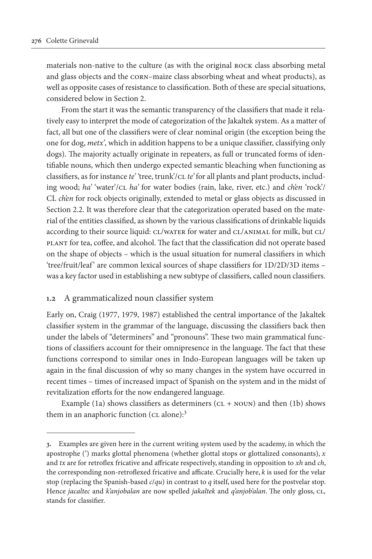materials non-native to the culture (as with the original rock class absorbing metal and glass objects and the corn–maize class absorbing wheat and wheat products), as well as opposite cases of resistance to classification. Both of these are special situations, considered below in Section 2.

From the start it was the semantic transparency of the classifiers that made it relatively easy to interpret the mode of categorization of the Jakaltek system. As a matter of fact, all but one of the classifiers were of clear nominal origin (the exception being the one for dog, *metx'*, which in addition happens to be a unique classifier, classifying only dogs). The majority actually originate in repeaters, as full or truncated forms of identifiable nouns, which then undergo expected semantic bleaching when functioning as classifiers, as for instance *te'* 'tree, trunk'/CL *te'* for all plants and plant products, including wood; *ha'* 'water'/cl *ha'* for water bodies (rain, lake, river, etc.) and *ch'en* 'rock'/ CL *ch'en* for rock objects originally, extended to metal or glass objects as discussed in Section 2.2. It was therefore clear that the categorization operated based on the material of the entities classified, as shown by the various classifications of drinkable liquids according to their source liquid: CL/WATER for water and CL/ANIMAL for milk, but CL/ plant for tea, coffee, and alcohol. The fact that the classification did not operate based on the shape of objects – which is the usual situation for numeral classifiers in which 'tree/fruit/leaf' are common lexical sources of shape classifiers for 1D/2D/3D items was a key factor used in establishing a new subtype of classifiers, called noun classifiers.

#### **1.2** A grammaticalized noun classifier system

Early on, [Craig \(1977](#page-22-3), [1979](#page-22-6), [1987\)](#page-22-1) established the central importance of the Jakaltek classifier system in the grammar of the language, discussing the classifiers back then under the labels of "determiners" and "pronouns". These two main grammatical functions of classifiers account for their omnipresence in the language. The fact that these functions correspond to similar ones in Indo-European languages will be taken up again in the final discussion of why so many changes in the system have occurred in recent times – times of increased impact of Spanish on the system and in the midst of revitalization efforts for the now endangered language.

Example (1a) shows classifiers as determiners ( $CL + NOUN$ ) and then (1b) shows them in an anaphoric function ( $CL$  alone): $3$ 

**<sup>.</sup>**  Examples are given here in the current writing system used by the academy, in which the apostrophe (') marks glottal phenomena (whether glottal stops or glottalized consonants), *x* and *tx* are for retroflex fricative and affricate respectively, standing in opposition to *xh* and *ch*, the corresponding non-retroflexed fricative and afficate. Crucially here, *k* is used for the velar stop (replacing the Spanish-based *c*/*qu*) in contrast to *q* itself, used here for the postvelar stop. Hence *jacaltec* and *k'anjobalan* are now spelled *jakaltek* and *q'anjob'alan*. The only gloss, cl, stands for classifier.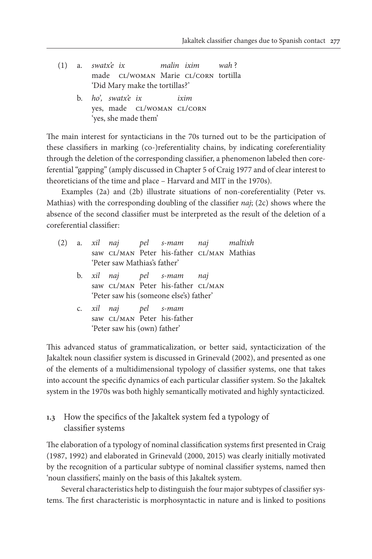- (1) a. *swatx'e ix malin ixim wah* ? made CL/WOMAN Marie CL/CORN tortilla 'Did Mary make the tortillas?'
	- b. *ho', swatx'e ix ixim* yes, made CL/WOMAN CL/CORN 'yes, she made them'

The main interest for syntacticians in the 70s turned out to be the participation of these classifiers in marking (co-)referentiality chains, by indicating coreferentiality through the deletion of the corresponding classifier, a phenomenon labeled then coreferential "gapping" (amply discussed in Chapter 5 of [Craig 1977](#page-22-3) and of clear interest to theoreticians of the time and place – Harvard and MIT in the 1970s).

Examples (2a) and (2b) illustrate situations of non-coreferentiality (Peter vs. Mathias) with the corresponding doubling of the classifier *naj*; (2c) shows where the absence of the second classifier must be interpreted as the result of the deletion of a coreferential classifier:

|  |  |                              | (2) a. xil naj pel s-mam naj maltixh       |  |
|--|--|------------------------------|--------------------------------------------|--|
|  |  |                              | saw CL/MAN Peter his-father CL/MAN Mathias |  |
|  |  | 'Peter saw Mathias's father' |                                            |  |
|  |  |                              | b. xil naj pel s-mam naj                   |  |
|  |  |                              | saw CL/MAN Peter his-father CL/MAN         |  |
|  |  |                              | 'Peter saw his (someone else's) father'    |  |
|  |  | c. xil naj pel s-mam         |                                            |  |
|  |  |                              | saw CL/MAN Peter his-father                |  |
|  |  | 'Peter saw his (own) father' |                                            |  |

This advanced status of grammaticalization, or better said, syntacticization of the Jakaltek noun classifier system is discussed in [Grinevald \(2002](#page-23-7)), and presented as one of the elements of a multidimensional typology of classifier systems, one that takes into account the specific dynamics of each particular classifier system. So the Jakaltek system in the 1970s was both highly semantically motivated and highly syntacticized.

## **1.3** How the specifics of the Jakaltek system fed a typology of classifier systems

The elaboration of a typology of nominal classification systems first presented in [Craig](#page-22-1)  [\(1987](#page-22-1), [1992](#page-22-7)) and elaborated in [Grinevald \(2000](#page-23-0), [2015](#page-23-1)) was clearly initially motivated by the recognition of a particular subtype of nominal classifier systems, named then 'noun classifiers', mainly on the basis of this Jakaltek system.

Several characteristics help to distinguish the four major subtypes of classifier systems. The first characteristic is morphosyntactic in nature and is linked to positions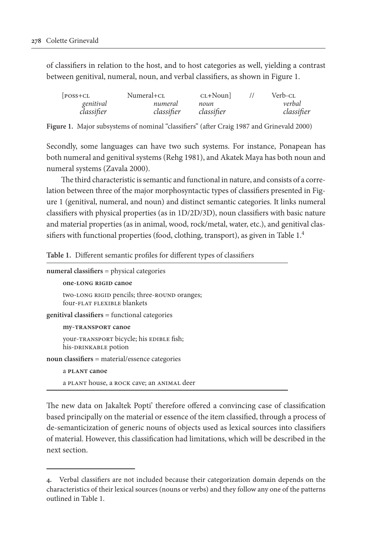of classifiers in relation to the host, and to host categories as well, yielding a contrast between genitival, numeral, noun, and verbal classifiers, as shown in Figure 1.

| $[poss+CL]$ | Numeral+CL | $CL+Noun$  | Verb-cL    |
|-------------|------------|------------|------------|
| genitival   | numeral    | поип       | verbal     |
| classifier  | classifier | classifier | classifier |

**Figure 1.** Major subsystems of nominal "classifiers" (after [Craig 1987](#page-22-1) and [Grinevald 2000\)](#page-23-0)

Secondly, some languages can have two such systems. For instance, Ponapean has both numeral and genitival systems [\(Rehg 1981\)](#page-24-0), and Akatek Maya has both noun and numeral systems [\(Zavala 2000](#page-24-1)).

The third characteristic is semantic and functional in nature, and consists of a correlation between three of the major morphosyntactic types of classifiers presented in Figure 1 (genitival, numeral, and noun) and distinct semantic categories. It links numeral classifiers with physical properties (as in 1D/2D/3D), noun classifiers with basic nature and material properties (as in animal, wood, rock/metal, water, etc.), and genitival classifiers with functional properties (food, clothing, transport), as given in Table 1.4

**Table 1.** Different semantic profiles for different types of classifiers

```
numeral classifiers = physical categories
     one-long rigid canoe
     two-LONG RIGID pencils; three-ROUND oranges;
     four-flat flexible blankets
genitival classifiers = functional categories
     my-transport canoe
     your-TRANSPORT bicycle; his EDIBLE fish;
     his-DRINKABLE potion
noun classifiers = material/essence categories
     a plant canoe
     a plant house, a rock cave; an animal deer
```
The new data on Jakaltek Popti' therefore offered a convincing case of classification based principally on the material or essence of the item classified, through a process of de-semanticization of generic nouns of objects used as lexical sources into classifiers of material. However, this classification had limitations, which will be described in the next section.

**<sup>.</sup>**  Verbal classifiers are not included because their categorization domain depends on the characteristics of their lexical sources (nouns or verbs) and they follow any one of the patterns outlined in Table 1.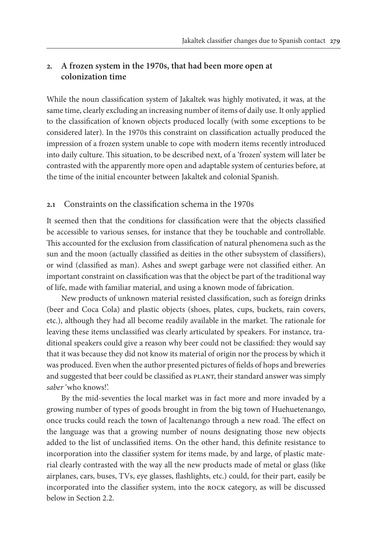## **2. A frozen system in the 1970s, that had been more open at colonization time**

While the noun classification system of Jakaltek was highly motivated, it was, at the same time, clearly excluding an increasing number of items of daily use. It only applied to the classification of known objects produced locally (with some exceptions to be considered later). In the 1970s this constraint on classification actually produced the impression of a frozen system unable to cope with modern items recently introduced into daily culture. This situation, to be described next, of a 'frozen' system will later be contrasted with the apparently more open and adaptable system of centuries before, at the time of the initial encounter between Jakaltek and colonial Spanish.

## **2.1**  Constraints on the classification schema in the 1970s

It seemed then that the conditions for classification were that the objects classified be accessible to various senses, for instance that they be touchable and controllable. This accounted for the exclusion from classification of natural phenomena such as the sun and the moon (actually classified as deities in the other subsystem of classifiers), or wind (classified as man). Ashes and swept garbage were not classified either. An important constraint on classification was that the object be part of the traditional way of life, made with familiar material, and using a known mode of fabrication.

New products of unknown material resisted classification, such as foreign drinks (beer and Coca Cola) and plastic objects (shoes, plates, cups, buckets, rain covers, etc.), although they had all become readily available in the market. The rationale for leaving these items unclassified was clearly articulated by speakers. For instance, traditional speakers could give a reason why beer could not be classified: they would say that it was because they did not know its material of origin nor the process by which it was produced. Even when the author presented pictures of fields of hops and breweries and suggested that beer could be classified as PLANT, their standard answer was simply *saber* 'who knows!'.

By the mid-seventies the local market was in fact more and more invaded by a growing number of types of goods brought in from the big town of Huehuetenango, once trucks could reach the town of Jacaltenango through a new road. The effect on the language was that a growing number of nouns designating those new objects added to the list of unclassified items. On the other hand, this definite resistance to incorporation into the classifier system for items made, by and large, of plastic material clearly contrasted with the way all the new products made of metal or glass (like airplanes, cars, buses, TVs, eye glasses, flashlights, etc.) could, for their part, easily be incorporated into the classifier system, into the rock category, as will be discussed below in Section 2.2.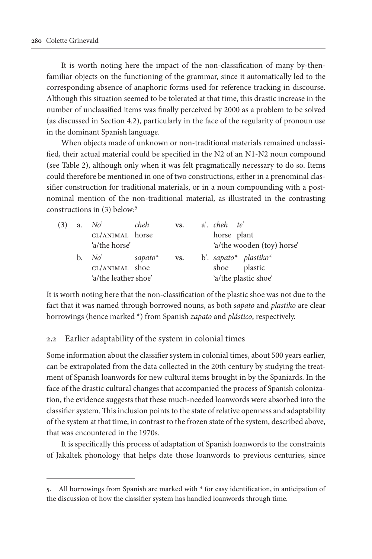It is worth noting here the impact of the non-classification of many by-thenfamiliar objects on the functioning of the grammar, since it automatically led to the corresponding absence of anaphoric forms used for reference tracking in discourse. Although this situation seemed to be tolerated at that time, this drastic increase in the number of unclassified items was finally perceived by 2000 as a problem to be solved (as discussed in Section 4.2), particularly in the face of the regularity of pronoun use in the dominant Spanish language.

When objects made of unknown or non-traditional materials remained unclassified, their actual material could be specified in the N2 of an N1-N2 noun compound (see Table 2), although only when it was felt pragmatically necessary to do so. Items could therefore be mentioned in one of two constructions, either in a prenominal classifier construction for traditional materials, or in a noun compounding with a postnominal mention of the non-traditional material, as illustrated in the contrasting constructions in (3) below:5

| (3) | a. No'               | cheh      | VS. |  | a', cheh te' |                            |
|-----|----------------------|-----------|-----|--|--------------|----------------------------|
|     | CL/ANIMAL horse      |           |     |  | horse plant  |                            |
|     | 'a/the horse'        |           |     |  |              | 'a/the wooden (toy) horse' |
|     | b. $No^{\prime}$     | $sapato*$ | VS. |  |              | b'. sapato* plastiko*      |
|     | CL/ANIMAL shoe       |           |     |  |              | shoe plastic               |
|     | 'a/the leather shoe' |           |     |  |              | 'a/the plastic shoe'       |

It is worth noting here that the non-classification of the plastic shoe was not due to the fact that it was named through borrowed nouns, as both *sapato* and *plastiko* are clear borrowings (hence marked \*) from Spanish *zapato* and *plástico*, respectively.

#### **2.2** Earlier adaptability of the system in colonial times

Some information about the classifier system in colonial times, about 500 years earlier, can be extrapolated from the data collected in the 20th century by studying the treatment of Spanish loanwords for new cultural items brought in by the Spaniards. In the face of the drastic cultural changes that accompanied the process of Spanish colonization, the evidence suggests that these much-needed loanwords were absorbed into the classifier system. This inclusion points to the state of relative openness and adaptability of the system at that time, in contrast to the frozen state of the system, described above, that was encountered in the 1970s.

It is specifically this process of adaptation of Spanish loanwords to the constraints of Jakaltek phonology that helps date those loanwords to previous centuries, since

**<sup>.</sup>**  All borrowings from Spanish are marked with \* for easy identification, in anticipation of the discussion of how the classifier system has handled loanwords through time.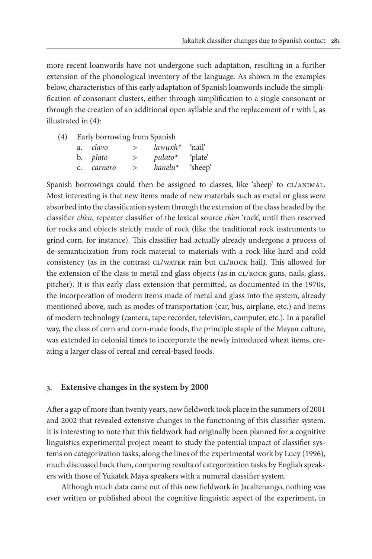more recent loanwords have not undergone such adaptation, resulting in a further extension of the phonological inventory of the language. As shown in the examples below, characteristics of this early adaptation of Spanish loanwords include the simplification of consonant clusters, either through simplification to a single consonant or through the creation of an additional open syllable and the replacement of r with l, as illustrated in (4):

(4) Early borrowing from Spanish

|  | a. <i>clavo</i> | $\geq$        | $lawuxh^*$ 'nail'                             |  |
|--|-----------------|---------------|-----------------------------------------------|--|
|  | b. <i>plato</i> | $\geq$        | <i>pulato</i> <sup>*</sup> blate <sup>'</sup> |  |
|  | c. carnero      | $\rightarrow$ | kanelu <sup>*</sup> 'sheep'                   |  |

Spanish borrowings could then be assigned to classes, like 'sheep' to CL/ANIMAL. Most interesting is that new items made of new materials such as metal or glass were absorbed into the classification system through the extension of the class headed by the classifier *ch'en*, repeater classifier of the lexical source *ch'en* 'rock', until then reserved for rocks and objects strictly made of rock (like the traditional rock instruments to grind corn, for instance). This classifier had actually already undergone a process of de-semanticization from rock material to materials with a rock-like hard and cold consistency (as in the contrast CL/WATER rain but CL/ROCK hail). This allowed for the extension of the class to metal and glass objects (as in CL/ROCK guns, nails, glass, pitcher). It is this early class extension that permitted, as documented in the 1970s, the incorporation of modern items made of metal and glass into the system, already mentioned above, such as modes of transportation (car, bus, airplane, etc.) and items of modern technology (camera, tape recorder, television, computer, etc.). In a parallel way, the class of corn and corn-made foods, the principle staple of the Mayan culture, was extended in colonial times to incorporate the newly introduced wheat items, creating a larger class of cereal and cereal-based foods.

#### **3. Extensive changes in the system by 2000**

After a gap of more than twenty years, new fieldwork took place in the summers of 2001 and 2002 that revealed extensive changes in the functioning of this classifier system. It is interesting to note that this fieldwork had originally been planned for a cognitive linguistics experimental project meant to study the potential impact of classifier systems on categorization tasks, along the lines of the experimental work by [Lucy \(1996](#page-23-8)), much discussed back then, comparing results of categorization tasks by English speakers with those of Yukatek Maya speakers with a numeral classifier system.

Although much data came out of this new fieldwork in Jacaltenango, nothing was ever written or published about the cognitive linguistic aspect of the experiment, in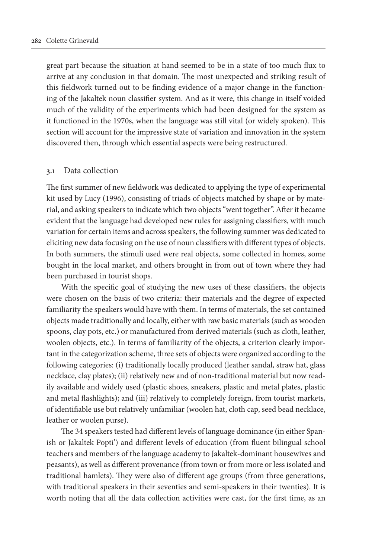great part because the situation at hand seemed to be in a state of too much flux to arrive at any conclusion in that domain. The most unexpected and striking result of this fieldwork turned out to be finding evidence of a major change in the functioning of the Jakaltek noun classifier system. And as it were, this change in itself voided much of the validity of the experiments which had been designed for the system as it functioned in the 1970s, when the language was still vital (or widely spoken). This section will account for the impressive state of variation and innovation in the system discovered then, through which essential aspects were being restructured.

#### **3.1**  Data collection

The first summer of new fieldwork was dedicated to applying the type of experimental kit used by [Lucy \(1996\)](#page-23-8), consisting of triads of objects matched by shape or by material, and asking speakers to indicate which two objects "went together". After it became evident that the language had developed new rules for assigning classifiers, with much variation for certain items and across speakers, the following summer was dedicated to eliciting new data focusing on the use of noun classifiers with different types of objects. In both summers, the stimuli used were real objects, some collected in homes, some bought in the local market, and others brought in from out of town where they had been purchased in tourist shops.

With the specific goal of studying the new uses of these classifiers, the objects were chosen on the basis of two criteria: their materials and the degree of expected familiarity the speakers would have with them. In terms of materials, the set contained objects made traditionally and locally, either with raw basic materials (such as wooden spoons, clay pots, etc.) or manufactured from derived materials (such as cloth, leather, woolen objects, etc.). In terms of familiarity of the objects, a criterion clearly important in the categorization scheme, three sets of objects were organized according to the following categories: (i) traditionally locally produced (leather sandal, straw hat, glass necklace, clay plates); (ii) relatively new and of non-traditional material but now readily available and widely used (plastic shoes, sneakers, plastic and metal plates, plastic and metal flashlights); and (iii) relatively to completely foreign, from tourist markets, of identifiable use but relatively unfamiliar (woolen hat, cloth cap, seed bead necklace, leather or woolen purse).

The 34 speakers tested had different levels of language dominance (in either Spanish or Jakaltek Popti') and different levels of education (from fluent bilingual school teachers and members of the language academy to Jakaltek-dominant housewives and peasants), as well as different provenance (from town or from more or less isolated and traditional hamlets). They were also of different age groups (from three generations, with traditional speakers in their seventies and semi-speakers in their twenties). It is worth noting that all the data collection activities were cast, for the first time, as an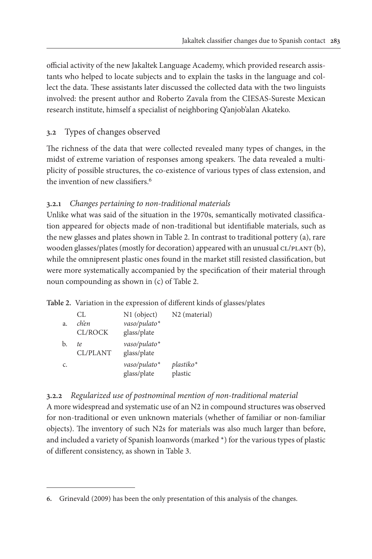official activity of the new Jakaltek Language Academy, which provided research assistants who helped to locate subjects and to explain the tasks in the language and collect the data. These assistants later discussed the collected data with the two linguists involved: the present author and Roberto Zavala from the CIESAS-Sureste Mexican research institute, himself a specialist of neighboring Q'anjob'alan Akateko.

## **3.2** Types of changes observed

The richness of the data that were collected revealed many types of changes, in the midst of extreme variation of responses among speakers. The data revealed a multiplicity of possible structures, the co-existence of various types of class extension, and the invention of new classifiers.<sup>6</sup>

## **3.2.1**  *Changes pertaining to non-traditional materials*

Unlike what was said of the situation in the 1970s, semantically motivated classification appeared for objects made of non-traditional but identifiable materials, such as the new glasses and plates shown in Table 2. In contrast to traditional pottery (a), rare wooden glasses/plates (mostly for decoration) appeared with an unusual CL/PLANT (b), while the omnipresent plastic ones found in the market still resisted classification, but were more systematically accompanied by the specification of their material through noun compounding as shown in (c) of Table 2.

## **Table 2.** Variation in the expression of different kinds of glasses/plates

| a. | CL.<br>chen<br><b>CL/ROCK</b> | N1 (object)<br>vaso/pulato*<br>glass/plate | N <sub>2</sub> (material) |
|----|-------------------------------|--------------------------------------------|---------------------------|
| b. | te.<br>CL/PLANT               | $vaso/pulator*$<br>glass/plate             |                           |
| C. |                               | $vaso/pulator*$<br>glass/plate             | $plastiko^*$<br>plastic   |

## **3.2.2** *Regularized use of postnominal mention of non-traditional material*

A more widespread and systematic use of an N2 in compound structures was observed for non-traditional or even unknown materials (whether of familiar or non-familiar objects). The inventory of such N2s for materials was also much larger than before, and included a variety of Spanish loanwords (marked \*) for the various types of plastic of different consistency, as shown in Table 3.

**<sup>.</sup>**  [Grinevald \(2009](#page-23-9)) has been the only presentation of this analysis of the changes.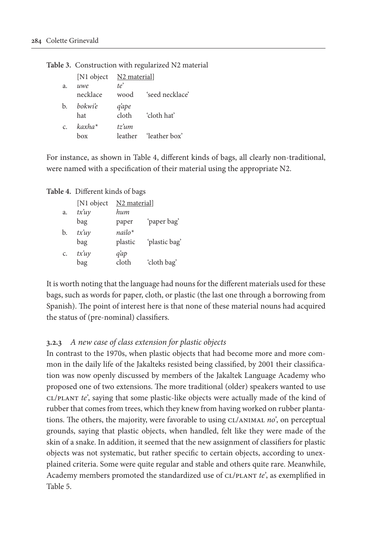|                 | [N1 object]           | N <sub>2</sub> material |                       |
|-----------------|-----------------------|-------------------------|-----------------------|
| a.              | uwe<br>necklace       | te'<br>wood             | 'seed necklace'       |
| b.              | <i>hokwi'e</i><br>hat | qape<br>cloth           | 'cloth hat'           |
| $\mathcal{C}$ . | $kaxha*$<br>hox       | tz'um                   | leather 'leather box' |

**Table 3.** Construction with regularized N2 material

For instance, as shown in Table 4, different kinds of bags, all clearly non-traditional, were named with a specification of their material using the appropriate N2.

**Table 4.** Different kinds of bags

|    | [N1 object] | N <sub>2</sub> material |               |
|----|-------------|-------------------------|---------------|
| a. | tx'uy       | hum                     |               |
|    | bag         | paper                   | 'paper bag'   |
| b. | tx'uy       | nailo*                  |               |
|    | bag         | plastic                 | 'plastic bag' |
| c. | tx'uy       | q`ap                    |               |
|    | bag         | cloth                   | 'cloth bag'   |

It is worth noting that the language had nouns for the different materials used for these bags, such as words for paper, cloth, or plastic (the last one through a borrowing from Spanish). The point of interest here is that none of these material nouns had acquired the status of (pre-nominal) classifiers.

#### **3.2.3** *A new case of class extension for plastic objects*

In contrast to the 1970s, when plastic objects that had become more and more common in the daily life of the Jakalteks resisted being classified, by 2001 their classification was now openly discussed by members of the Jakaltek Language Academy who proposed one of two extensions. The more traditional (older) speakers wanted to use cl/plant *te'*, saying that some plastic-like objects were actually made of the kind of rubber that comes from trees, which they knew from having worked on rubber plantations. The others, the majority, were favorable to using cl/animal *no'*, on perceptual grounds, saying that plastic objects, when handled, felt like they were made of the skin of a snake. In addition, it seemed that the new assignment of classifiers for plastic objects was not systematic, but rather specific to certain objects, according to unexplained criteria. Some were quite regular and stable and others quite rare. Meanwhile, Academy members promoted the standardized use of CL/PLANT *te*', as exemplified in Table 5.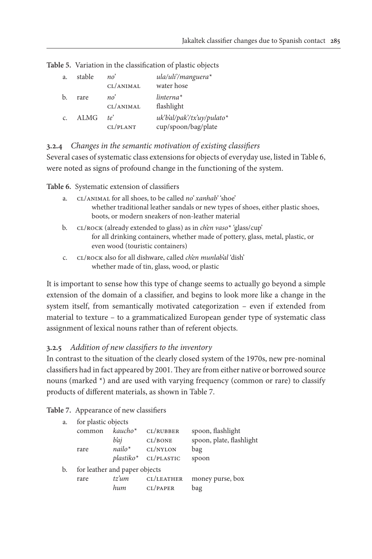| a.             | stable      | no<br>CL/ANIMAL      | $ula/uli'manguera*$<br>water hose                    |
|----------------|-------------|----------------------|------------------------------------------------------|
| b.             | rare        | $n_0$<br>CL/ANIMAL   | $linterna*$<br>flashlight                            |
| C <sub>1</sub> | <b>ALMG</b> | $t\rho'$<br>CL/PLANT | $uk'b'al/pak'/tx'uy/pulator*$<br>cup/spoon/bag/plate |

**Table 5.** Variation in the classification of plastic objects

**3.2.4** *Changes in the semantic motivation of existing classifiers*

Several cases of systematic class extensions for objects of everyday use, listed in Table 6, were noted as signs of profound change in the functioning of the system.

**Table 6.** Systematic extension of classifiers

- a. cl/animal for all shoes, to be called *no' xanhab'* 'shoe' whether traditional leather sandals or new types of shoes, either plastic shoes, boots, or modern sneakers of non-leather material
- b. cl/rock (already extended to glass) as in *ch'en vaso\* '*glass/cup' for all drinking containers, whether made of pottery, glass, metal, plastic, or even wood (touristic containers)
- c. cl/rock also for all dishware, called *ch'en munlab'al* 'dish' whether made of tin, glass, wood, or plastic

It is important to sense how this type of change seems to actually go beyond a simple extension of the domain of a classifier, and begins to look more like a change in the system itself, from semantically motivated categorization – even if extended from material to texture – to a grammaticalized European gender type of systematic class assignment of lexical nouns rather than of referent objects.

## **3.2.5** *Addition of new classifiers to the inventory*

In contrast to the situation of the clearly closed system of the 1970s, new pre-nominal classifiers had in fact appeared by 2001. They are from either native or borrowed source nouns (marked \*) and are used with varying frequency (common or rare) to classify products of different materials, as shown in Table 7.

**Table 7.** Appearance of new classifiers

| a. | for plastic objects |                               |            |                          |
|----|---------------------|-------------------------------|------------|--------------------------|
|    | common              | $kaucho*$                     | CL/RUBBER  | spoon, flashlight        |
|    |                     | bài                           | CL/BONE    | spoon, plate, flashlight |
|    | rare                | $nailo^*$                     | CL/NYLON   | bag                      |
|    |                     | plastiko*                     | CL/PLASTIC | spoon                    |
| b. |                     | for leather and paper objects |            |                          |
|    | rare                | tz'um                         | CL/LEATHER | money purse, box         |
|    |                     | hum                           | CL/PAPER   | bag                      |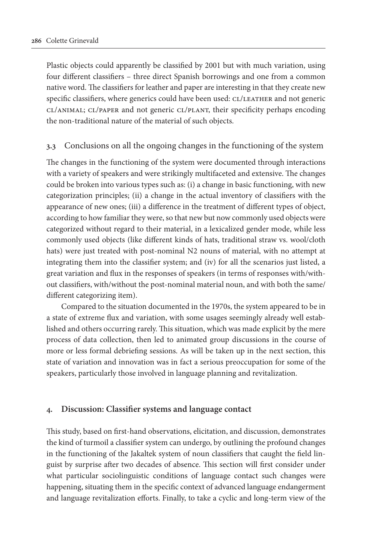Plastic objects could apparently be classified by 2001 but with much variation, using four different classifiers – three direct Spanish borrowings and one from a common native word. The classifiers for leather and paper are interesting in that they create new specific classifiers, where generics could have been used: CL/LEATHER and not generic cl/animal; cl/paper and not generic cl/plant, their specificity perhaps encoding the non-traditional nature of the material of such objects.

## **3.3** Conclusions on all the ongoing changes in the functioning of the system

The changes in the functioning of the system were documented through interactions with a variety of speakers and were strikingly multifaceted and extensive. The changes could be broken into various types such as: (i) a change in basic functioning, with new categorization principles; (ii) a change in the actual inventory of classifiers with the appearance of new ones; (iii) a difference in the treatment of different types of object, according to how familiar they were, so that new but now commonly used objects were categorized without regard to their material, in a lexicalized gender mode, while less commonly used objects (like different kinds of hats, traditional straw vs. wool/cloth hats) were just treated with post-nominal N2 nouns of material, with no attempt at integrating them into the classifier system; and (iv) for all the scenarios just listed, a great variation and flux in the responses of speakers (in terms of responses with/without classifiers, with/without the post-nominal material noun, and with both the same/ different categorizing item).

Compared to the situation documented in the 1970s, the system appeared to be in a state of extreme flux and variation, with some usages seemingly already well established and others occurring rarely. This situation, which was made explicit by the mere process of data collection, then led to animated group discussions in the course of more or less formal debriefing sessions. As will be taken up in the next section, this state of variation and innovation was in fact a serious preoccupation for some of the speakers, particularly those involved in language planning and revitalization.

#### **4. Discussion: Classifier systems and language contact**

This study, based on first-hand observations, elicitation, and discussion, demonstrates the kind of turmoil a classifier system can undergo, by outlining the profound changes in the functioning of the Jakaltek system of noun classifiers that caught the field linguist by surprise after two decades of absence. This section will first consider under what particular sociolinguistic conditions of language contact such changes were happening, situating them in the specific context of advanced language endangerment and language revitalization efforts. Finally, to take a cyclic and long-term view of the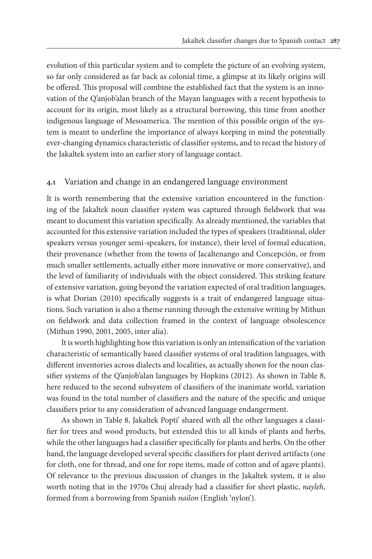evolution of this particular system and to complete the picture of an evolving system, so far only considered as far back as colonial time, a glimpse at its likely origins will be offered. This proposal will combine the established fact that the system is an innovation of the Q'anjob'alan branch of the Mayan languages with a recent hypothesis to account for its origin, most likely as a structural borrowing, this time from another indigenous language of Mesoamerica. The mention of this possible origin of the system is meant to underline the importance of always keeping in mind the potentially ever-changing dynamics characteristic of classifier systems, and to recast the history of the Jakaltek system into an earlier story of language contact.

## **4.1**  Variation and change in an endangered language environment

It is worth remembering that the extensive variation encountered in the functioning of the Jakaltek noun classifier system was captured through fieldwork that was meant to document this variation specifically. As already mentioned, the variables that accounted for this extensive variation included the types of speakers (traditional, older speakers versus younger semi-speakers, for instance), their level of formal education, their provenance (whether from the towns of Jacaltenango and Concepción, or from much smaller settlements, actually either more innovative or more conservative), and the level of familiarity of individuals with the object considered. This striking feature of extensive variation, going beyond the variation expected of oral tradition languages, is what [Dorian \(2010\)](#page-22-8) specifically suggests is a trait of endangered language situations. Such variation is also a theme running through the extensive writing by Mithun on fieldwork and data collection framed in the context of language obsolescence [\(Mithun 1990](#page-23-3), [2001,](#page-23-4) [2005,](#page-23-10) inter alia).

It is worth highlighting how this variation is only an intensification of the variation characteristic of semantically based classifier systems of oral tradition languages, with different inventories across dialects and localities, as actually shown for the noun classifier systems of the Q'anjob'alan languages by [Hopkins \(2012\)](#page-23-5). As shown in Table 8, here reduced to the second subsystem of classifiers of the inanimate world, variation was found in the total number of classifiers and the nature of the specific and unique classifiers prior to any consideration of advanced language endangerment.

As shown in Table 8, Jakaltek Popti' shared with all the other languages a classifier for trees and wood products, but extended this to all kinds of plants and herbs, while the other languages had a classifier specifically for plants and herbs. On the other hand, the language developed several specific classifiers for plant derived artifacts (one for cloth, one for thread, and one for rope items, made of cotton and of agave plants). Of relevance to the previous discussion of changes in the Jakaltek system, it is also worth noting that in the 1970s Chuj already had a classifier for sheet plastic, *nayleh*, formed from a borrowing from Spanish *nailon* (English 'nylon').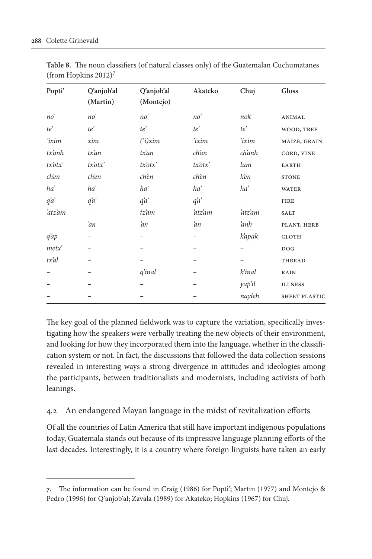| Popti'        | Q'anjob'al<br>(Martin) | Q'anjob'al<br>(Montejo) | Akateko       | Chuj           | Gloss          |
|---------------|------------------------|-------------------------|---------------|----------------|----------------|
| no'           | no'                    | no'                     | no'           | nok'           | ANIMAL         |
| te'           | te'                    | te'                     | te'           | te'            | WOOD, TREE     |
| 'ixim         | xim                    | (i)xim                  | 'ixim         | 'ixim          | MAIZE, GRAIN   |
| tx'anh        | tx'an                  | tx'an                   | ch'an         | chanh          | CORD, VINE     |
| $tx'$ ot $x'$ | $tx'$ ot $x'$          | $tx'$ ot $x'$           | $tx'$ ot $x'$ | lum            | <b>EARTH</b>   |
| chen          | chen                   | chen                    | chen          | ken            | <b>STONE</b>   |
| ha            | ha                     | ha                      | ha            | ha             | <b>WATER</b>   |
| qà            | qà                     | qà                      | qà            | -              | <b>FIRE</b>    |
| `atz`am       | -                      | tz'am                   | `atz`am       | `atz`am        | <b>SALT</b>    |
|               | 'nа                    | 'nа                     | 'nа           | `anh           | PLANT, HERB    |
| $q^2ap$       |                        |                         |               | kapak          | <b>CLOTH</b>   |
| $m$ etx'      |                        |                         |               |                | DOG            |
| tx'al         |                        |                         |               |                | THREAD         |
|               |                        | q'inal                  |               | <i>k</i> 'inal | RAIN           |
|               |                        |                         |               | yap'il         | <b>ILLNESS</b> |
|               |                        |                         |               | nayleh         | SHEET PLASTIC  |

**Table 8.** The noun classifiers (of natural classes only) of the Guatemalan Cuchumatanes (from [Hopkins 2012\)](#page-23-5)<sup>7</sup>

The key goal of the planned fieldwork was to capture the variation, specifically investigating how the speakers were verbally treating the new objects of their environment, and looking for how they incorporated them into the language, whether in the classification system or not. In fact, the discussions that followed the data collection sessions revealed in interesting ways a strong divergence in attitudes and ideologies among the participants, between traditionalists and modernists, including activists of both leanings.

## **4.2** An endangered Mayan language in the midst of revitalization efforts

Of all the countries of Latin America that still have important indigenous populations today, Guatemala stands out because of its impressive language planning efforts of the last decades. Interestingly, it is a country where foreign linguists have taken an early

**<sup>.</sup>**  The information can be found in [Craig \(1986](#page-22-0)) for Popti'; [Martin \(1977](#page-23-11)) and [Montejo &](#page-24-2)  [Pedro \(1996](#page-24-2)) for Q'anjob'al; Zavala (1989) for Akateko; [Hopkins \(1967\)](#page-23-12) for Chuj.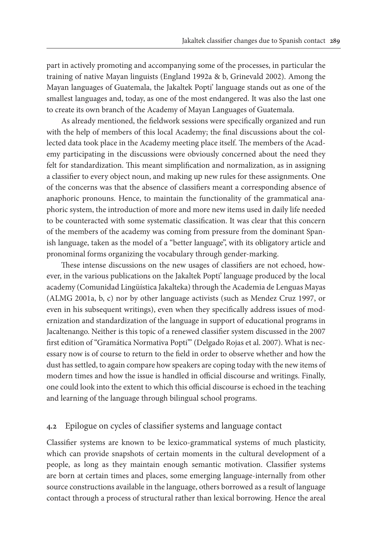part in actively promoting and accompanying some of the processes, in particular the training of native Mayan linguists ([England 1992a](#page-22-9) & b, [Grinevald 2002\)](#page-23-7). Among the Mayan languages of Guatemala, the Jakaltek Popti' language stands out as one of the smallest languages and, today, as one of the most endangered. It was also the last one to create its own branch of the Academy of Mayan Languages of Guatemala.

As already mentioned, the fieldwork sessions were specifically organized and run with the help of members of this local Academy; the final discussions about the collected data took place in the Academy meeting place itself. The members of the Academy participating in the discussions were obviously concerned about the need they felt for standardization. This meant simplification and normalization, as in assigning a classifier to every object noun, and making up new rules for these assignments. One of the concerns was that the absence of classifiers meant a corresponding absence of anaphoric pronouns. Hence, to maintain the functionality of the grammatical anaphoric system, the introduction of more and more new items used in daily life needed to be counteracted with some systematic classification. It was clear that this concern of the members of the academy was coming from pressure from the dominant Spanish language, taken as the model of a "better language", with its obligatory article and pronominal forms organizing the vocabulary through gender-marking.

These intense discussions on the new usages of classifiers are not echoed, however, in the various publications on the Jakaltek Popti' language produced by the local academy (Comunidad Lingüística Jakalteka) through the Academia de Lenguas Mayas [\(ALMG 2001a](#page-22-10), [b](#page-22-11), [c\)](#page-22-12) nor by other language activists (such as Mendez Cruz 1997, or even in his subsequent writings), even when they specifically address issues of modernization and standardization of the language in support of educational programs in Jacaltenango. Neither is this topic of a renewed classifier system discussed in the 2007 first edition of "Gramática Normativa Popti'" ([Delgado Rojas et al. 2007\)](#page-22-13). What is necessary now is of course to return to the field in order to observe whether and how the dust has settled, to again compare how speakers are coping today with the new items of modern times and how the issue is handled in official discourse and writings. Finally, one could look into the extent to which this official discourse is echoed in the teaching and learning of the language through bilingual school programs.

## **4.2** Epilogue on cycles of classifier systems and language contact

Classifier systems are known to be lexico-grammatical systems of much plasticity, which can provide snapshots of certain moments in the cultural development of a people, as long as they maintain enough semantic motivation. Classifier systems are born at certain times and places, some emerging language-internally from other source constructions available in the language, others borrowed as a result of language contact through a process of structural rather than lexical borrowing. Hence the areal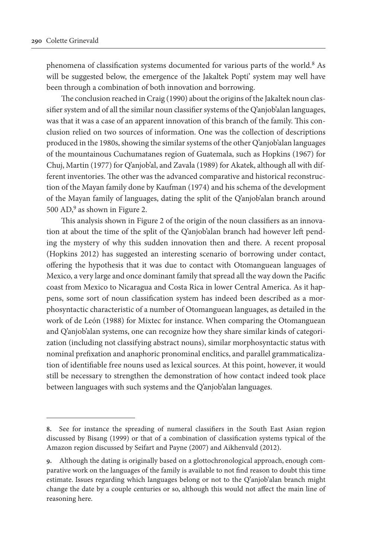phenomena of classification systems documented for various parts of the world.<sup>8</sup> As will be suggested below, the emergence of the Jakaltek Popti' system may well have been through a combination of both innovation and borrowing.

The conclusion reached in [Craig \(1990](#page-22-14)) about the origins of the Jakaltek noun classifier system and of all the similar noun classifier systems of the Q'anjob'alan languages, was that it was a case of an apparent innovation of this branch of the family. This conclusion relied on two sources of information. One was the collection of descriptions produced in the 1980s, showing the similar systems of the other Q'anjob'alan languages of the mountainous Cuchumatanes region of Guatemala, such as [Hopkins \(1967](#page-23-12)) for Chuj, [Martin \(1977](#page-23-11)) for Q'anjob'al, and [Zavala \(1989](#page-24-3)) for Akatek, although all with different inventories. The other was the advanced comparative and historical reconstruction of the Mayan family done by [Kaufman \(1974\)](#page-23-13) and his schema of the development of the Mayan family of languages, dating the split of the Q'anjob'alan branch around 500 AD, $9$  as shown in Figure 2.

This analysis shown in Figure 2 of the origin of the noun classifiers as an innovation at about the time of the split of the Q'anjob'alan branch had however left pending the mystery of why this sudden innovation then and there. A recent proposal [\(Hopkins 2012](#page-23-5)) has suggested an interesting scenario of borrowing under contact, offering the hypothesis that it was due to contact with Otomanguean languages of Mexico, a very large and once dominant family that spread all the way down the Pacific coast from Mexico to Nicaragua and Costa Rica in lower Central America. As it happens, some sort of noun classification system has indeed been described as a morphosyntactic characteristic of a number of Otomanguean languages, as detailed in the work of [de León \(1988](#page-22-15)) for Mixtec for instance. When comparing the Otomanguean and Q'anjob'alan systems, one can recognize how they share similar kinds of categorization (including not classifying abstract nouns), similar morphosyntactic status with nominal prefixation and anaphoric pronominal enclitics, and parallel grammaticalization of identifiable free nouns used as lexical sources. At this point, however, it would still be necessary to strengthen the demonstration of how contact indeed took place between languages with such systems and the Q'anjob'alan languages.

**<sup>.</sup>**  See for instance the spreading of numeral classifiers in the South East Asian region discussed by Bisang (1999) or that of a combination of classification systems typical of the Amazon region discussed by Seifart and Payne (2007) and Aikhenvald (2012).

**<sup>.</sup>**  Although the dating is originally based on a glottochronological approach, enough comparative work on the languages of the family is available to not find reason to doubt this time estimate. Issues regarding which languages belong or not to the Q'anjob'alan branch might change the date by a couple centuries or so, although this would not affect the main line of reasoning here.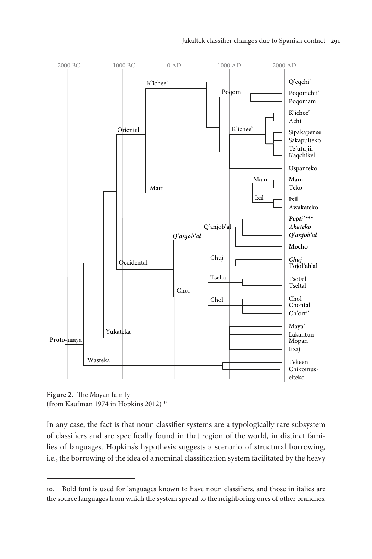

**Figure 2.** The Mayan family (from [Kaufman 1974](#page-23-13) in Hopkins  $2012)^{10}$ 

In any case, the fact is that noun classifier systems are a typologically rare subsystem of classifiers and are specifically found in that region of the world, in distinct families of languages. Hopkins's hypothesis suggests a scenario of structural borrowing, i.e., the borrowing of the idea of a nominal classification system facilitated by the heavy

**<sup>.</sup>**  Bold font is used for languages known to have noun classifiers, and those in italics are the source languages from which the system spread to the neighboring ones of other branches.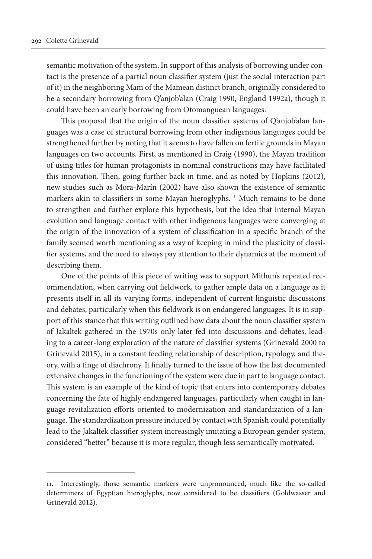semantic motivation of the system. In support of this analysis of borrowing under contact is the presence of a partial noun classifier system (just the social interaction part of it) in the neighboring Mam of the Mamean distinct branch, originally considered to be a secondary borrowing from Q'anjob'alan [\(Craig 1990](#page-22-14), [England 1992a](#page-22-9)), though it could have been an early borrowing from Otomanguean languages.

This proposal that the origin of the noun classifier systems of Q'anjob'alan languages was a case of structural borrowing from other indigenous languages could be strengthened further by noting that it seems to have fallen on fertile grounds in Mayan languages on two accounts. First, as mentioned in [Craig \(1990\)](#page-22-14), the Mayan tradition of using titles for human protagonists in nominal constructions may have facilitated this innovation. Then, going further back in time, and as noted by [Hopkins \(2012](#page-23-5)), new studies such as [Mora-Marín \(2002](#page-24-4)) have also shown the existence of semantic markers akin to classifiers in some Mayan hieroglyphs.<sup>11</sup> Much remains to be done to strengthen and further explore this hypothesis, but the idea that internal Mayan evolution and language contact with other indigenous languages were converging at the origin of the innovation of a system of classification in a specific branch of the family seemed worth mentioning as a way of keeping in mind the plasticity of classifier systems, and the need to always pay attention to their dynamics at the moment of describing them.

One of the points of this piece of writing was to support Mithun's repeated recommendation, when carrying out fieldwork, to gather ample data on a language as it presents itself in all its varying forms, independent of current linguistic discussions and debates, particularly when this fieldwork is on endangered languages. It is in support of this stance that this writing outlined how data about the noun classifier system of Jakaltek gathered in the 1970s only later fed into discussions and debates, leading to a career-long exploration of the nature of classifier systems [\(Grinevald 2000](#page-23-0) to [Grinevald 2015\)](#page-23-1), in a constant feeding relationship of description, typology, and theory, with a tinge of diachrony. It finally turned to the issue of how the last documented extensive changes in the functioning of the system were due in part to language contact. This system is an example of the kind of topic that enters into contemporary debates concerning the fate of highly endangered languages, particularly when caught in language revitalization efforts oriented to modernization and standardization of a language. The standardization pressure induced by contact with Spanish could potentially lead to the Jakaltek classifier system increasingly imitating a European gender system, considered "better" because it is more regular, though less semantically motivated.

**<sup>.</sup>**  Interestingly, those semantic markers were unpronounced, much like the so-called determiners of Egyptian hieroglyphs, now considered to be classifiers ([Goldwasser and](#page-23-2)  [Grinevald 2012\)](#page-23-2).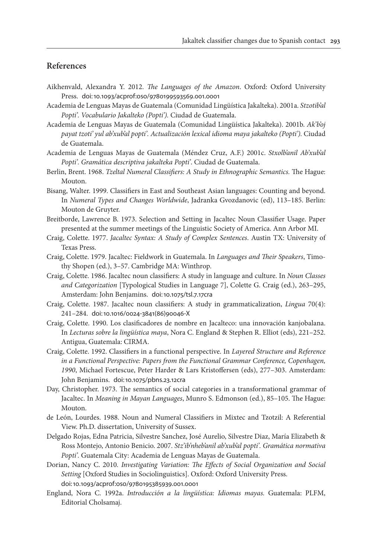## **References**

- Aikhenvald, Alexandra Y. 2012. *The Languages of the Amazon*. Oxford: Oxford University Press. [doi:10.1093/acprof:oso/9780199593569.001.0001](http://dx.doi.org/10.1093/acprof:oso/9780199593569.001.0001
)
- <span id="page-22-10"></span>Academia de Lenguas Mayas de Guatemala (Comunidad Lingüística Jakalteka). 2001a. *Stzotib'al Popti'. Vocabulario Jakalteko (Popti').* Ciudad de Guatemala.
- <span id="page-22-11"></span>Academia de Lenguas Mayas de Guatemala (Comunidad Lingüística Jakalteka). 2001b. *Ak'b'oj payat tzoti' yul ab'xub'al popti'. Actualización lexical idioma maya jakalteko (Popti').* Ciudad de Guatemala.
- <span id="page-22-12"></span>Academia de Lenguas Mayas de Guatemala (Méndez Cruz, A.F.) 2001c. *Stxolb'anil Ab'xub'al Popti'. Gramática descriptiva jakalteka Popti'*. Ciudad de Guatemala.
- <span id="page-22-2"></span>Berlin, Brent. 1968. *Tzeltal Numeral Classifiers: A Study in Ethnographic Semantics.* The Hague: Mouton.
- Bisang, Walter. 1999. Classifiers in East and Southeast Asian languages: Counting and beyond. In *Numeral Types and Changes Worldwide*, Jadranka Gvozdanovic (ed), 113–185. Berlin: Mouton de Gruyter.
- <span id="page-22-5"></span>Breitborde, Lawrence B. 1973. Selection and Setting in Jacaltec Noun Classifier Usage. Paper presented at the summer meetings of the Linguistic Society of America. Ann Arbor MI.
- <span id="page-22-3"></span>Craig, Colette. 1977. *Jacaltec Syntax: A Study of Complex Sentences*. Austin TX: University of Texas Press.
- <span id="page-22-6"></span>Craig, Colette. 1979. Jacaltec: Fieldwork in Guatemala. In *Languages and Their Speakers*, Timothy Shopen (ed.), 3–57. Cambridge MA: Winthrop.
- <span id="page-22-0"></span>Craig, Colette. 1986. Jacaltec noun classifiers: A study in language and culture. In *Noun Classes and Categorization* [Typological Studies in Language 7], Colette G. Craig (ed.), 263–295, Amsterdam: John Benjamins. [doi:10.1075/tsl.7.17cra](http://dx.doi.org/10.1075/tsl.7.17cra
)
- <span id="page-22-1"></span>Craig, Colette. 1987. Jacaltec noun classifiers: A study in grammaticalization, *Lingua* 70(4): 241–284. [doi:10.1016/0024-3841\(86\)90046-X](http://dx.doi.org/10.1016/0024-3841(86)90046-X
)
- <span id="page-22-14"></span>Craig, Colette. 1990. Los clasificadores de nombre en Jacalteco: una innovación kanjobalana. In *Lecturas sobre la lingüística maya*, Nora C. England & Stephen R. Elliot (eds), 221–252. Antigua, Guatemala: CIRMA.
- <span id="page-22-7"></span>Craig, Colette. 1992. Classifiers in a functional perspective. In *Layered Structure and Reference in a Functional Perspective: Papers from the Functional Grammar Conference, Copenhagen, 1990*, Michael Fortescue, Peter Harder & Lars Kristoffersen (eds), 277–303. Amsterdam: John Benjamins. [doi:10.1075/pbns.23.12cra](http://dx.doi.org/10.1075/pbns.23.12cra
)
- <span id="page-22-4"></span>Day, Christopher. 1973. The semantics of social categories in a transformational grammar of Jacaltec. In *Meaning in Mayan Languages*, Munro S. Edmonson (ed.), 85–105. The Hague: Mouton.
- <span id="page-22-15"></span>de León, Lourdes. 1988. Noun and Numeral Classifiers in Mixtec and Tzotzil: A Referential View. Ph.D. dissertation, University of Sussex.
- <span id="page-22-13"></span>Delgado Rojas, Edna Patricia, Silvestre Sanchez, José Aurelio, Silvestre Diaz, María Elizabeth & Ross Montejo, Antonio Benicio. 2007. *Stz'ib'nheb'anil ab'xub'al popti'. Gramática normativa Popti'.* Guatemala City: Academia de Lenguas Mayas de Guatemala.
- <span id="page-22-8"></span>Dorian, Nancy C. 2010*. Investigating Variation: The Effects of Social Organization and Social Setting* [Oxford Studies in Sociolinguistics]. Oxford: Oxford University Press. [doi:10.1093/acprof:oso/9780195385939.001.0001](http://dx.doi.org/10.1093/acprof:oso/9780195385939.001.0001
)
- <span id="page-22-9"></span>England, Nora C. 1992a. *Introducción a la lingüística: Idiomas mayas.* Guatemala: PLFM, Editorial Cholsamaj.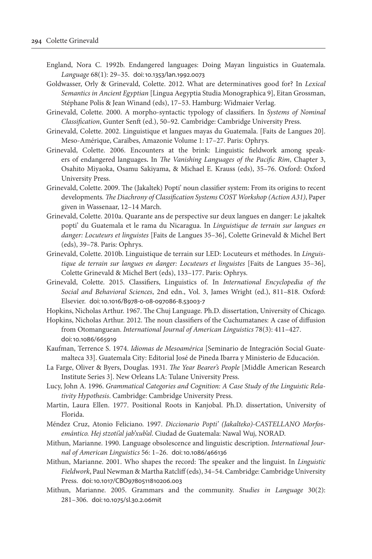- England, Nora C. 1992b. Endangered languages: Doing Mayan linguistics in Guatemala. *Language* 68(1): 29–35. [doi:10.1353/lan.1992.0073](http://dx.doi.org/10.1353/lan.1992.0073
)
- <span id="page-23-2"></span>Goldwasser, Orly & Grinevald, Colette. 2012. What are determinatives good for? In *Lexical Semantics in Ancient Egyptian* [Lingua Aegyptia Studia Monographica 9], Eitan Grossman, Stéphane Polis & Jean Winand (eds), 17–53. Hamburg: Widmaier Verlag.
- <span id="page-23-0"></span>Grinevald, Colette. 2000. A morpho-syntactic typology of classifiers. In *Systems of Nominal Classification*, Gunter Senft (ed.), 50–92. Cambridge: Cambridge University Press.
- <span id="page-23-7"></span>Grinevald, Colette. 2002. Linguistique et langues mayas du Guatemala. [Faits de Langues 20]. Meso-Amérique, Caraïbes, Amazonie Volume 1: 17–27. Paris: Ophrys.
- Grinevald, Colette. 2006. Encounters at the brink: Linguistic fieldwork among speakers of endangered languages**.** In *The Vanishing Languages of the Pacific Rim*, Chapter 3, Osahito Miyaoka, Osamu Sakiyama, & Michael E. Krauss (eds), 35–76. Oxford: Oxford University Press.
- <span id="page-23-9"></span>Grinevald, Colette. 2009. The (Jakaltek) Popti' noun classifier system: From its origins to recent developments*. The Diachrony of Classification Systems COST Workshop (Action A31)*, Paper given in Wassenaar, 12–14 March.
- Grinevald, Colette. 2010a. Quarante ans de perspective sur deux langues en danger: Le jakaltek popti' du Guatemala et le rama du Nicaragua. In *Linguistique de terrain sur langues en danger: Locuteurs et linguistes* [Faits de Langues 35–36], Colette Grinevald & Michel Bert (eds), 39–78. Paris: Ophrys.
- Grinevald, Colette. 2010b. Linguistique de terrain sur LED: Locuteurs et méthodes. In *Linguis*tique de terrain sur langues en danger: Locuteurs et linguistes [Faits de Langues 35-36], Colette Grinevald & Michel Bert (eds), 133–177. Paris: Ophrys.
- <span id="page-23-1"></span>Grinevald, Colette. 2015. Classifiers, Linguistics of. In *International Encyclopedia of the Social and Behavioral Sciences*, 2nd edn., Vol. 3, James Wright (ed.), 811–818. Oxford: Elsevier. [doi:10.1016/B978-0-08-097086-8.53003-7](http://dx.doi.org/10.1016/B978-0-08-097086-8.53003-7
)
- <span id="page-23-12"></span>Hopkins, Nicholas Arthur. 1967. The Chuj Language*.* Ph.D. dissertation, University of Chicago.
- <span id="page-23-5"></span>Hopkins, Nicholas Arthur. 2012. The noun classifiers of the Cuchumatanes: A case of diffusion from Otomanguean. *International Journal of American Linguistics* 78(3): 411–427. [doi:10.1086/665919](http://dx.doi.org/10.1086/665919
)
- <span id="page-23-13"></span>Kaufman, Terrence S. 1974. *Idiomas de Mesoamérica* [Seminario de Integración Social Guatemalteca 33]. Guatemala City: Editorial José de Pineda Ibarra y Ministerio de Educación.
- <span id="page-23-6"></span>La Farge, Oliver & Byers, Douglas. 1931. *The Year Bearer's People* [Middle American Research Institute Series 3]. New Orleans LA: Tulane University Press.
- <span id="page-23-8"></span>Lucy, John A. 1996. *Grammatical Categories and Cognition: A Case Study of the Linguistic Relativity Hypothesis*. Cambridge: Cambridge University Press.
- <span id="page-23-11"></span>Martin, Laura Ellen. 1977. Positional Roots in Kanjobal. Ph.D. dissertation, University of Florida.
- Méndez Cruz, Atonio Feliciano. 1997. *Diccionario Popti' (Jakalteko)-CASTELLANO Morfosemántico. Hej stzoti'al jab'xub'al*. Ciudad de Guatemala: Nawal Wuj, NORAD.
- <span id="page-23-3"></span>Mithun, Marianne. 1990. Language obsolescence and linguistic description. *International Journal of American Linguistics* 56: 1–26. [doi:10.1086/466136](http://dx.doi.org/10.1086/466136
)
- <span id="page-23-4"></span>Mithun, Marianne. 2001. Who shapes the record: The speaker and the linguist. In *Linguistic Fieldwork*, Paul Newman & Martha Ratcliff (eds), 34–54. Cambridge: Cambridge University Press. [doi:10.1017/CBO9780511810206.003](http://dx.doi.org/10.1017/CBO9780511810206.003
)
- <span id="page-23-10"></span>Mithun, Marianne. 2005. Grammars and the community. *Studies in Language* 30(2): 281–306. [doi:10.1075/sl.30.2.06mit](http://dx.doi.org/10.1075/sl.30.2.06mit
)